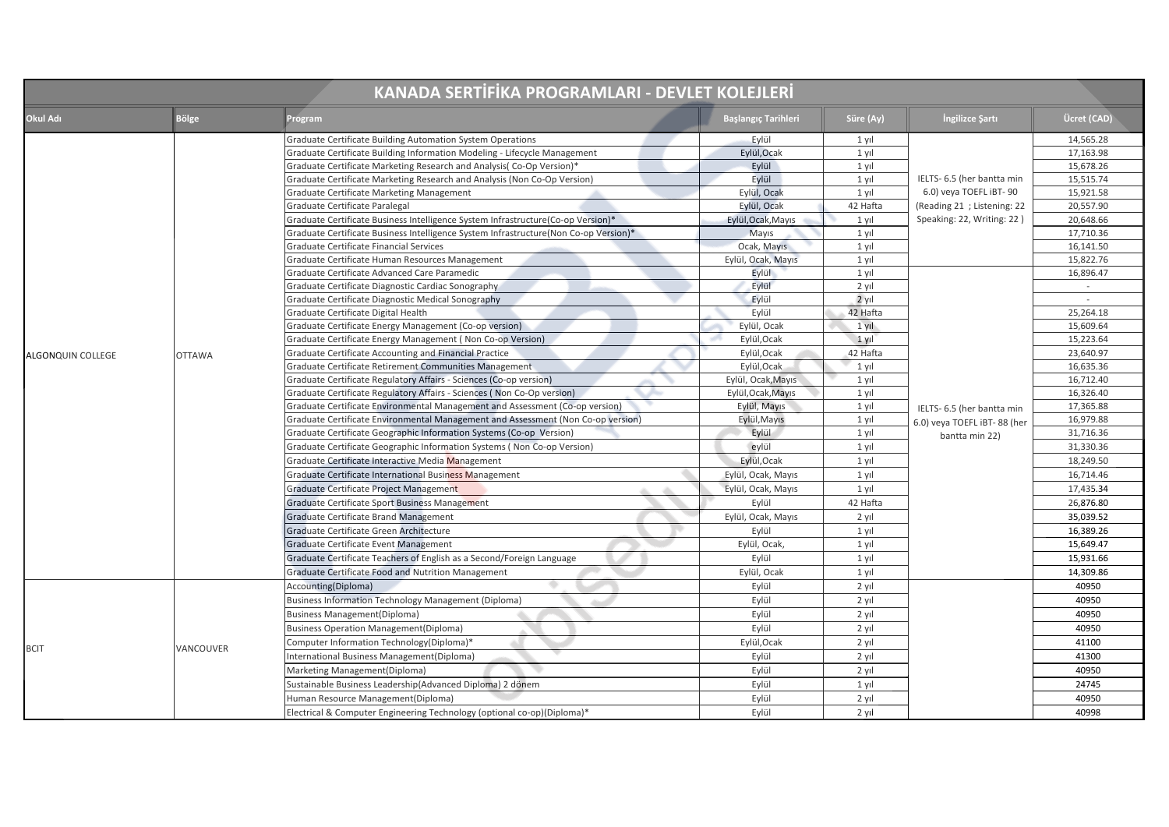| KANADA SERTİFİKA PROGRAMLARI - DEVLET KOLEJLERİ |               |                                                                                      |                            |           |                                                                             |             |
|-------------------------------------------------|---------------|--------------------------------------------------------------------------------------|----------------------------|-----------|-----------------------------------------------------------------------------|-------------|
| Okul Adı                                        | Bölge         | Program                                                                              | <b>Başlangıç Tarihleri</b> | Süre (Ay) | Ingilizce Şartı                                                             | Ücret (CAD) |
|                                                 |               | Graduate Certificate Building Automation System Operations                           | Eylül                      | 1 yıl     |                                                                             | 14,565.28   |
|                                                 |               | Graduate Certificate Building Information Modeling - Lifecycle Management            | Eylül, Ocak                | 1 yıl     |                                                                             | 17,163.98   |
|                                                 |               | Graduate Certificate Marketing Research and Analysis(Co-Op Version)*                 | Eylül                      | 1 yıl     |                                                                             | 15,678.26   |
|                                                 |               | Graduate Certificate Marketing Research and Analysis (Non Co-Op Version)             | Eylül                      | 1 yıl     | IELTS- 6.5 (her bantta min                                                  | 15,515.74   |
|                                                 |               | Graduate Certificate Marketing Management                                            | Eylül, Ocak                | $1$ yıl   | 6.0) veya TOEFL iBT-90<br>(Reading 21 ; Listening: 22                       | 15,921.58   |
|                                                 |               | Graduate Certificate Paralegal                                                       | Eylül, Ocak                | 42 Hafta  |                                                                             | 20,557.90   |
|                                                 |               | Graduate Certificate Business Intelligence System Infrastructure(Co-op Version)*     | Eylül, Ocak, Mayıs         | 1 yıl     | Speaking: 22, Writing: 22)                                                  | 20,648.66   |
|                                                 |               | Graduate Certificate Business Intelligence System Infrastructure(Non Co-op Version)* | Mayıs                      | 1 yıl     |                                                                             | 17,710.36   |
|                                                 |               | Graduate Certificate Financial Services                                              | Ocak, Mayıs                | 1 yıl     |                                                                             | 16,141.50   |
|                                                 |               | Graduate Certificate Human Resources Management                                      | Eylül, Ocak, Mayıs         | 1 yıl     |                                                                             | 15,822.76   |
|                                                 |               | Graduate Certificate Advanced Care Paramedic                                         | Eylül                      | 1 yıl     |                                                                             | 16,896.47   |
|                                                 |               | Graduate Certificate Diagnostic Cardiac Sonography                                   | Eylül                      | 2 yıl     | IELTS- 6.5 (her bantta min<br>6.0) veya TOEFL iBT-88 (her<br>bantta min 22) | $\sim$      |
|                                                 |               | Graduate Certificate Diagnostic Medical Sonography                                   | Eylül                      | $2$ yıl   |                                                                             | $\sim$      |
|                                                 |               | Graduate Certificate Digital Health                                                  | Eylül                      | 42 Hafta  |                                                                             | 25,264.18   |
|                                                 |               | Graduate Certificate Energy Management (Co-op version)                               | Eylül, Ocak                | 1 yıl     |                                                                             | 15,609.64   |
|                                                 | <b>OTTAWA</b> | Graduate Certificate Energy Management (Non Co-op Version)                           | Eylül, Ocak                | $1$ yil   |                                                                             | 15,223.64   |
| ALGONQUIN COLLEGE                               |               | Graduate Certificate Accounting and Financial Practice                               | Eylül, Ocak                | 42 Hafta  |                                                                             | 23,640.97   |
|                                                 |               | Graduate Certificate Retirement Communities Management                               | Eylül, Ocak                | 1 yıl     |                                                                             | 16,635.36   |
|                                                 |               | Graduate Certificate Regulatory Affairs - Sciences (Co-op version)                   | Eylül, Ocak, Mayıs         | 1 yıl     |                                                                             | 16,712.40   |
|                                                 |               | Graduate Certificate Regulatory Affairs - Sciences (Non Co-Op version)               | Eylül, Ocak, Mayıs         | 1 yıl     |                                                                             | 16,326.40   |
|                                                 |               | Graduate Certificate Environmental Management and Assessment (Co-op version)         | Eylül, Mayıs               | 1 yıl     |                                                                             | 17,365.88   |
|                                                 |               | Graduate Certificate Environmental Management and Assessment (Non Co-op version)     | Eylül, Mayıs               | 1 yıl     |                                                                             | 16,979.88   |
|                                                 |               | Graduate Certificate Geographic Information Systems (Co-op Version)                  | Eylül                      | 1 yıl     |                                                                             | 31,716.36   |
|                                                 |               | Graduate Certificate Geographic Information Systems (Non Co-op Version)              | eylül                      | 1 yıl     |                                                                             | 31,330.36   |
|                                                 |               | Graduate Certificate Interactive Media Management                                    | Eylül, Ocak                | 1 yıl     |                                                                             | 18,249.50   |
|                                                 |               | Graduate Certificate International Business Management                               | Eylül, Ocak, Mayıs         | 1 yıl     |                                                                             | 16,714.46   |
|                                                 |               | Graduate Certificate Project Management                                              | Eylül, Ocak, Mayıs         | 1 yıl     |                                                                             | 17,435.34   |
|                                                 |               | Graduate Certificate Sport Business Management                                       | Eylül                      | 42 Hafta  |                                                                             | 26,876.80   |
|                                                 |               | Graduate Certificate Brand Management                                                | Eylül, Ocak, Mayıs         | 2 yıl     |                                                                             | 35,039.52   |
|                                                 |               | Graduate Certificate Green Architecture                                              | Eylül                      | $1$ yıl   |                                                                             | 16,389.26   |
|                                                 |               | Graduate Certificate Event Management                                                | Eylül, Ocak,               | 1 yıl     |                                                                             | 15,649.47   |
|                                                 |               | Graduate Certificate Teachers of English as a Second/Foreign Language                | Eylül                      | 1 yıl     |                                                                             | 15,931.66   |
|                                                 |               | Graduate Certificate Food and Nutrition Management                                   | Eylül, Ocak                | 1 yıl     |                                                                             | 14,309.86   |
|                                                 |               | Accounting(Diploma)                                                                  | Eylül                      | 2 yıl     |                                                                             | 40950       |
|                                                 |               | <b>Business Information Technology Management (Diploma)</b>                          | Eylül                      | 2 yıl     |                                                                             | 40950       |
|                                                 |               | <b>Business Management(Diploma)</b>                                                  | Eylül                      | 2 yıl     |                                                                             | 40950       |
|                                                 |               | <b>Business Operation Management (Diploma)</b>                                       | Eylül                      | 2 yıl     |                                                                             | 40950       |
|                                                 |               | Computer Information Technology(Diploma)*                                            | Eylül, Ocak                | 2 yıl     |                                                                             | 41100       |
| <b>BCIT</b>                                     | VANCOUVER     | International Business Management(Diploma)                                           | Eylül                      | 2 yıl     |                                                                             | 41300       |
|                                                 |               | Marketing Management(Diploma)                                                        | Eylül                      | 2 yıl     |                                                                             | 40950       |
|                                                 |               | Sustainable Business Leadership(Advanced Diploma) 2 dönem                            | Eylül                      | 1 yıl     |                                                                             | 24745       |
|                                                 |               | Human Resource Management(Diploma)                                                   | Eylül                      | 2 yıl     |                                                                             | 40950       |
|                                                 |               | Electrical & Computer Engineering Technology (optional co-op)(Diploma)*              | Eylül                      | 2 yıl     |                                                                             | 40998       |
|                                                 |               |                                                                                      |                            |           |                                                                             |             |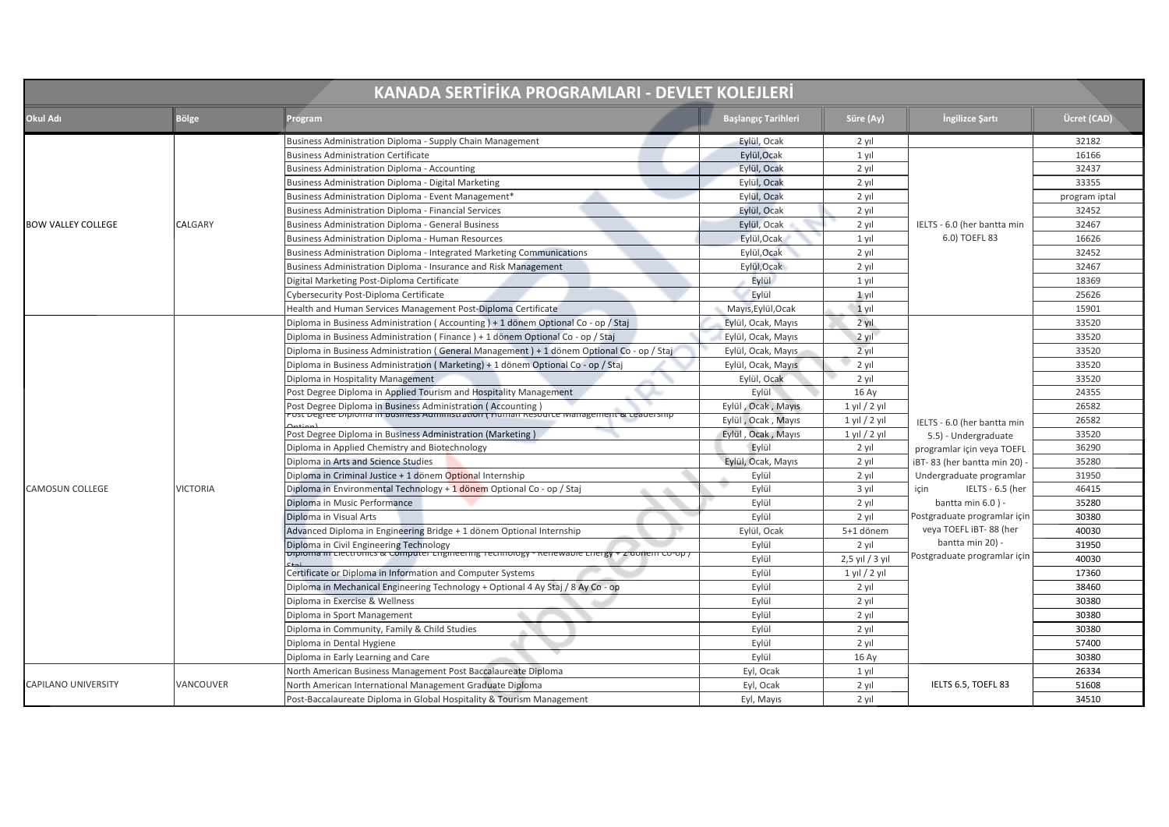| <b>KANADA SERTİFİKA PROGRAMLARI - DEVLET KOLEJLERİ</b> |                 |                                                                                                                                                          |                            |                   |                              |               |
|--------------------------------------------------------|-----------------|----------------------------------------------------------------------------------------------------------------------------------------------------------|----------------------------|-------------------|------------------------------|---------------|
| Okul Adı                                               | <b>Bölge</b>    | Program                                                                                                                                                  | <b>Başlangıç Tarihleri</b> | Süre (Ay)         | Ingilizce Sartı              | Ücret (CAD)   |
|                                                        |                 | Business Administration Diploma - Supply Chain Management                                                                                                | Eylül, Ocak                | 2 yıl             |                              | 32182         |
|                                                        |                 | <b>Business Administration Certificate</b>                                                                                                               | Eylül, Ocak                | 1 yıl             |                              | 16166         |
|                                                        |                 | <b>Business Administration Diploma - Accounting</b>                                                                                                      | Eylül, Ocak                | 2 yıl             |                              | 32437         |
|                                                        |                 | Business Administration Diploma - Digital Marketing                                                                                                      | Eylül, Ocak                | 2 yıl             |                              | 33355         |
|                                                        |                 | Business Administration Diploma - Event Management*                                                                                                      | Eylül, Ocak                | 2 yıl             |                              | program iptal |
|                                                        |                 | <b>Business Administration Diploma - Financial Services</b>                                                                                              | Eylül, Ocak                | 2 yıl             |                              | 32452         |
| <b>BOW VALLEY COLLEGE</b>                              | CALGARY         | <b>Business Administration Diploma - General Business</b>                                                                                                | Eylül, Ocak                | $2$ yil           | IELTS - 6.0 (her bantta min  | 32467         |
|                                                        |                 | <b>Business Administration Diploma - Human Resources</b>                                                                                                 | Eylül, Ocak                | $1$ vil           | 6.0) TOEFL 83                | 16626         |
|                                                        |                 | Business Administration Diploma - Integrated Marketing Communications                                                                                    | Eylül, Ocak                | 2 yıl             |                              | 32452         |
|                                                        |                 | Business Administration Diploma - Insurance and Risk Management                                                                                          | Eylül, Ocak                | $2$ yil           |                              | 32467         |
|                                                        |                 | Digital Marketing Post-Diploma Certificate                                                                                                               | Evlül                      | $1$ vil           |                              | 18369         |
|                                                        |                 | Cybersecurity Post-Diploma Certificate                                                                                                                   | Eylül                      | $1$ yıl           |                              | 25626         |
|                                                        |                 | Health and Human Services Management Post-Diploma Certificate                                                                                            | Mayıs, Eylül, Ocak         | $1$ yıl           |                              | 15901         |
|                                                        | <b>VICTORIA</b> | Diploma in Business Administration (Accounting) + 1 dönem Optional Co - op / Staj                                                                        | Evlül, Ocak, Mavis         | $2$ vil           |                              | 33520         |
|                                                        |                 | Diploma in Business Administration (Finance) + 1 dönem Optional Co - op / Staj                                                                           | Eylül, Ocak, Mayıs         | 2 yıl             |                              | 33520         |
|                                                        |                 | Diploma in Business Administration (General Management) + 1 dönem Optional Co - op / Staj                                                                | Eylül, Ocak, Mayıs         | 2 yıl             |                              | 33520         |
|                                                        |                 | Diploma in Business Administration (Marketing) + 1 dönem Optional Co - op / Staj                                                                         | Eylül, Ocak, Mayıs         | $2$ yıl           |                              | 33520         |
|                                                        |                 | Diploma in Hospitality Management                                                                                                                        | Eylül, Ocak                | 2 yıl             |                              | 33520         |
|                                                        |                 | Post Degree Diploma in Applied Tourism and Hospitality Management                                                                                        | Evlül                      | 16 Ay             |                              | 24355         |
|                                                        |                 | Post Degree Diploma in Business Administration ( Accounting )<br>Post Degree Diploma in Business Administration ( Human Resource Management & Leadership | Eylül, Ocak, Mayıs         | $1$ yıl $/2$ yıl  |                              | 26582         |
|                                                        |                 |                                                                                                                                                          | Eylül, Ocak, Mayıs         | $1$ yıl $/ 2$ yıl | IELTS - 6.0 (her bantta min  | 26582         |
|                                                        |                 | Post Degree Diploma in Business Administration (Marketing)                                                                                               | Eylül, Ocak, Mayıs         | $1$ yıl $/2$ yıl  | 5.5) - Undergraduate         | 33520         |
|                                                        |                 | Diploma in Applied Chemistry and Biotechnology                                                                                                           | Evlül                      | 2 yıl             | programlar için veya TOEFL   | 36290         |
|                                                        |                 | Diploma in Arts and Science Studies                                                                                                                      | Eylül, Ocak, Mayıs         | 2 yıl             | iBT-83 (her bantta min 20)   | 35280         |
|                                                        |                 | Diploma in Criminal Justice + 1 dönem Optional Internship                                                                                                | Eylül                      | 2 yıl             | Undergraduate programlar     | 31950         |
| <b>CAMOSUN COLLEGE</b>                                 |                 | Diploma in Environmental Technology + 1 dönem Optional Co - op / Staj                                                                                    | Eylül                      | 3 vil             | IELTS - 6.5 (her<br>icin     | 46415         |
|                                                        |                 | Diploma in Music Performance                                                                                                                             | Eylül                      | 2 yıl             | bantta min $6.0$ ) -         | 35280         |
|                                                        |                 | Diploma in Visual Arts                                                                                                                                   | Eylül                      | $2$ yil           | Postgraduate programlar için | 30380         |
|                                                        |                 | Advanced Diploma in Engineering Bridge + 1 dönem Optional Internship                                                                                     | Eylül, Ocak                | 5+1 dönem         | veya TOEFL iBT-88 (her       | 40030         |
|                                                        |                 | Diploma in Civil Engineering Technology<br>Diploma in clectromes & computer crigineering Technology - Renewable chergy + 2 doifem co-op /                | Eylül                      | 2 yıl             | bantta min 20) -             | 31950         |
|                                                        |                 |                                                                                                                                                          | Eylül                      | 2,5 yıl / 3 yıl   | Postgraduate programlar için | 40030         |
|                                                        |                 | Certificate or Diploma in Information and Computer Systems                                                                                               | Eylül                      | $1$ yıl $/ 2$ yıl |                              | 17360         |
|                                                        |                 | Diploma in Mechanical Engineering Technology + Optional 4 Ay Staj / 8 Ay Co - op                                                                         | Eylül                      | 2 yıl             |                              | 38460         |
|                                                        |                 | Diploma in Exercise & Wellness                                                                                                                           | Eylül                      | 2 yıl             |                              | 30380         |
|                                                        |                 | Diploma in Sport Management                                                                                                                              | Eylül                      | $2$ yil           |                              | 30380         |
|                                                        |                 | Diploma in Community, Family & Child Studies                                                                                                             | Eylül                      | 2 yıl             |                              | 30380         |
|                                                        |                 | Diploma in Dental Hygiene                                                                                                                                | Eylül                      | $2$ yil           |                              | 57400         |
|                                                        |                 | Diploma in Early Learning and Care                                                                                                                       | Eylül                      | 16 Ay             |                              | 30380         |
|                                                        |                 | North American Business Management Post Baccalaureate Diploma                                                                                            | Eyl, Ocak                  | 1 yıl             |                              | 26334         |
| <b>CAPILANO UNIVERSITY</b>                             | VANCOUVER       | North American International Management Graduate Diploma                                                                                                 | Eyl, Ocak                  | $2$ yil           | IELTS 6.5, TOEFL 83          | 51608         |
|                                                        |                 | Post-Baccalaureate Diploma in Global Hospitality & Tourism Management                                                                                    | Eyl, Mayıs                 | 2 yıl             |                              | 34510         |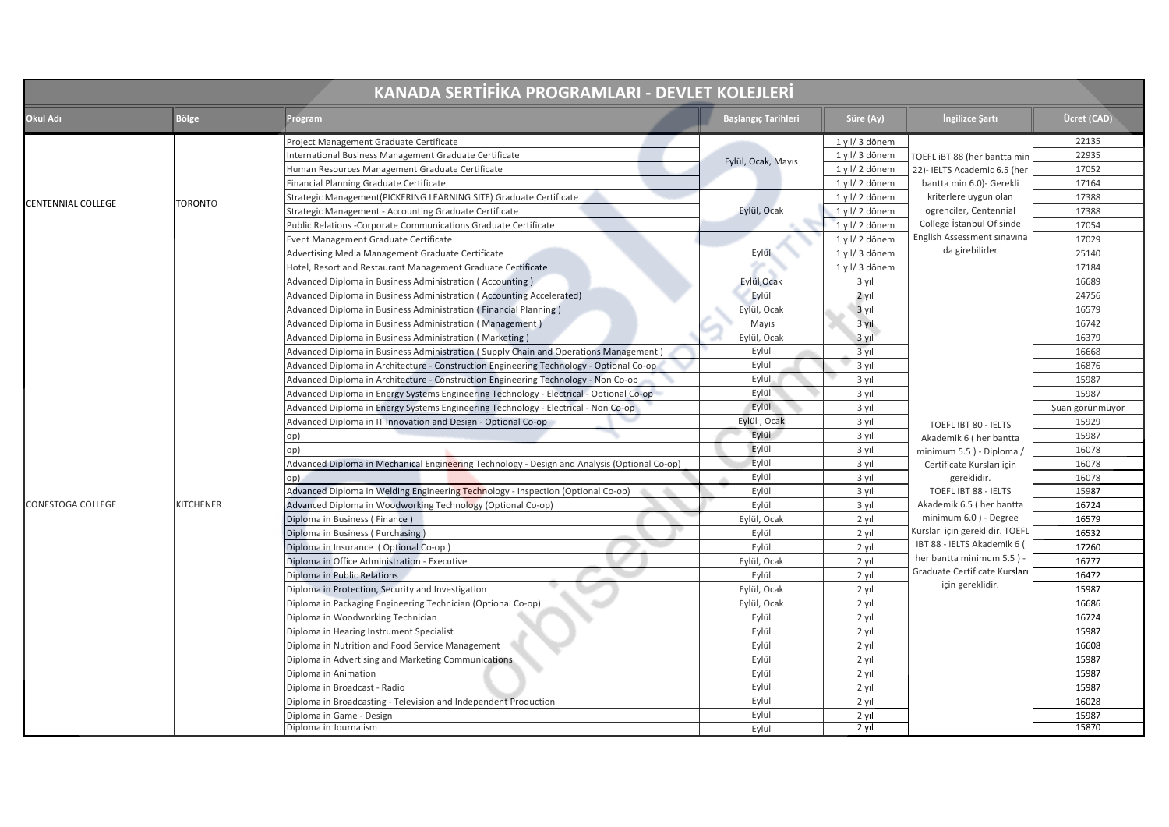| KANADA SERTİFİKA PROGRAMLARI - DEVLET KOLEJLERİ |                  |                                                                                              |                     |                |                                                                                                                                                                            |                 |
|-------------------------------------------------|------------------|----------------------------------------------------------------------------------------------|---------------------|----------------|----------------------------------------------------------------------------------------------------------------------------------------------------------------------------|-----------------|
| Okul Adı                                        | <b>Bölge</b>     | Program                                                                                      | Başlangıç Tarihleri | Süre (Ay)      | İngilizce Şartı                                                                                                                                                            | Ücret (CAD)     |
|                                                 |                  | Project Management Graduate Certificate                                                      |                     | 1 yıl/ 3 dönem |                                                                                                                                                                            | 22135           |
|                                                 |                  | International Business Management Graduate Certificate                                       | Eylül, Ocak, Mayıs  | 1 yıl/ 3 dönem | TOEFL iBT 88 (her bantta min                                                                                                                                               | 22935           |
|                                                 |                  | Human Resources Management Graduate Certificate                                              |                     | 1 yıl/ 2 dönem | 22)- IELTS Academic 6.5 (her                                                                                                                                               | 17052           |
|                                                 |                  | Financial Planning Graduate Certificate                                                      |                     | 1 yıl/ 2 dönem | bantta min 6.0)- Gerekli                                                                                                                                                   | 17164           |
| CENTENNIAL COLLEGE                              | <b>TORONTO</b>   | Strategic Management(PICKERING LEARNING SITE) Graduate Certificate                           | Eylül, Ocak         | 1 yıl/ 2 dönem | kriterlere uygun olan                                                                                                                                                      | 17388           |
|                                                 |                  | Strategic Management - Accounting Graduate Certificate                                       |                     | 1 yıl/2 dönem  | ogrenciler, Centennial                                                                                                                                                     | 17388           |
|                                                 |                  | Public Relations - Corporate Communications Graduate Certificate                             |                     | 1 yıl/ 2 dönem | College İstanbul Ofisinde<br><b>English Assessment sinavina</b>                                                                                                            | 17054           |
|                                                 |                  | Event Management Graduate Certificate                                                        |                     | 1 yıl/ 2 dönem | da girebilirler                                                                                                                                                            | 17029           |
|                                                 |                  | Advertising Media Management Graduate Certificate                                            | Eylül               | 1 yıl/ 3 dönem |                                                                                                                                                                            | 25140           |
|                                                 |                  | Hotel, Resort and Restaurant Management Graduate Certificate                                 |                     | 1 yıl/ 3 dönem |                                                                                                                                                                            | 17184           |
|                                                 |                  | Advanced Diploma in Business Administration (Accounting)                                     | Eylül, Ocak         | 3 yıl          |                                                                                                                                                                            | 16689           |
|                                                 |                  | Advanced Diploma in Business Administration (Accounting Accelerated)                         | Eylül               | 2 yıl          |                                                                                                                                                                            | 24756           |
|                                                 |                  | Advanced Diploma in Business Administration (Financial Planning)                             | Eylül, Ocak         | 3 yıl          |                                                                                                                                                                            | 16579           |
|                                                 |                  | Advanced Diploma in Business Administration (Management)                                     | Mayıs               | 3 yıl          |                                                                                                                                                                            | 16742           |
|                                                 |                  | Advanced Diploma in Business Administration (Marketing)                                      | Eylül, Ocak         | $3$ vil        |                                                                                                                                                                            | 16379           |
|                                                 |                  | Advanced Diploma in Business Administration (Supply Chain and Operations Management)         | Eylül               | 3 yıl          |                                                                                                                                                                            | 16668           |
|                                                 |                  | Advanced Diploma in Architecture - Construction Engineering Technology - Optional Co-op      | Eylül               | 3 yıl          |                                                                                                                                                                            | 16876           |
|                                                 |                  | Advanced Diploma in Architecture - Construction Engineering Technology - Non Co-op           | Eylül               | 3 yıl          |                                                                                                                                                                            | 15987           |
|                                                 |                  | Advanced Diploma in Energy Systems Engineering Technology - Electrical - Optional Co-op      | Eylül               | 3 yıl          | TOEFL IBT 80 - IELTS<br>Akademik 6 (her bantta<br>minimum 5.5) - Diploma /<br>Certificate Kursları için<br>gereklidir.<br>TOEFL IBT 88 - IELTS<br>Akademik 6.5 (her bantta | 15987           |
|                                                 |                  | Advanced Diploma in Energy Systems Engineering Technology - Electrical - Non Co-op           | Eylül               | 3 yıl          |                                                                                                                                                                            | Şuan görünmüyor |
|                                                 |                  | Advanced Diploma in IT Innovation and Design - Optional Co-op                                | Eylül, Ocak         | 3 yıl          |                                                                                                                                                                            | 15929           |
|                                                 |                  | op)                                                                                          | Eylül               | 3 yıl          |                                                                                                                                                                            | 15987           |
|                                                 |                  | op)                                                                                          | Eylül               | 3 yıl          |                                                                                                                                                                            | 16078           |
|                                                 |                  | Advanced Diploma in Mechanical Engineering Technology - Design and Analysis (Optional Co-op) | Eylül               | $3$ yıl        |                                                                                                                                                                            | 16078           |
|                                                 |                  | op)                                                                                          | Eylül               | 3 yıl          |                                                                                                                                                                            | 16078           |
|                                                 |                  | Advanced Diploma in Welding Engineering Technology - Inspection (Optional Co-op)             | Eylül               | 3 yıl          |                                                                                                                                                                            | 15987           |
| CONESTOGA COLLEGE                               | <b>KITCHENER</b> | Advanced Diploma in Woodworking Technology (Optional Co-op)                                  | Eylül               | 3 yıl          |                                                                                                                                                                            | 16724           |
|                                                 |                  | Diploma in Business (Finance)                                                                | Eylül, Ocak         | 2 yıl          | minimum 6.0) - Degree                                                                                                                                                      | 16579           |
|                                                 |                  | Diploma in Business (Purchasing)                                                             | Eylül               | 2 yıl          | Kursları için gereklidir. TOEFI                                                                                                                                            | 16532           |
|                                                 |                  | Diploma in Insurance (Optional Co-op)                                                        | Eylül               | 2 yıl          | IBT 88 - IELTS Akademik 6 (                                                                                                                                                | 17260           |
|                                                 |                  | Diploma in Office Administration - Executive                                                 | Eylül, Ocak         | $2$ yıl        | her bantta minimum 5.5) -                                                                                                                                                  | 16777           |
|                                                 |                  | Diploma in Public Relations                                                                  | Eylül               | 2 yıl          | Graduate Certificate Kursları                                                                                                                                              | 16472           |
|                                                 |                  | Diploma in Protection, Security and Investigation                                            | Eylül, Ocak         | 2 yıl          | için gereklidir.                                                                                                                                                           | 15987           |
|                                                 |                  | Diploma in Packaging Engineering Technician (Optional Co-op)                                 | Eylül, Ocak         | 2 yıl          |                                                                                                                                                                            | 16686           |
|                                                 |                  | Diploma in Woodworking Technician                                                            | Eylül               | 2 yıl          |                                                                                                                                                                            | 16724           |
|                                                 |                  | Diploma in Hearing Instrument Specialist                                                     | Eylül               | 2 yıl          |                                                                                                                                                                            | 15987           |
|                                                 |                  | Diploma in Nutrition and Food Service Management                                             | Eylül               | 2 yıl          |                                                                                                                                                                            | 16608           |
|                                                 |                  | Diploma in Advertising and Marketing Communications                                          | Eylül               | 2 yıl          |                                                                                                                                                                            | 15987           |
|                                                 |                  | Diploma in Animation                                                                         | Eylül               | 2 yıl          |                                                                                                                                                                            | 15987           |
|                                                 |                  | Diploma in Broadcast - Radio                                                                 | Eylül               | $2$ yıl        |                                                                                                                                                                            | 15987           |
|                                                 |                  | Diploma in Broadcasting - Television and Independent Production                              | Eylül               | 2 yıl          |                                                                                                                                                                            | 16028           |
|                                                 |                  |                                                                                              | Eylül               |                |                                                                                                                                                                            |                 |
|                                                 |                  | Diploma in Game - Design<br>Diploma in Journalism                                            |                     | 2 yıl<br>2 yıl |                                                                                                                                                                            | 15987<br>15870  |
|                                                 |                  |                                                                                              | Eylül               |                |                                                                                                                                                                            |                 |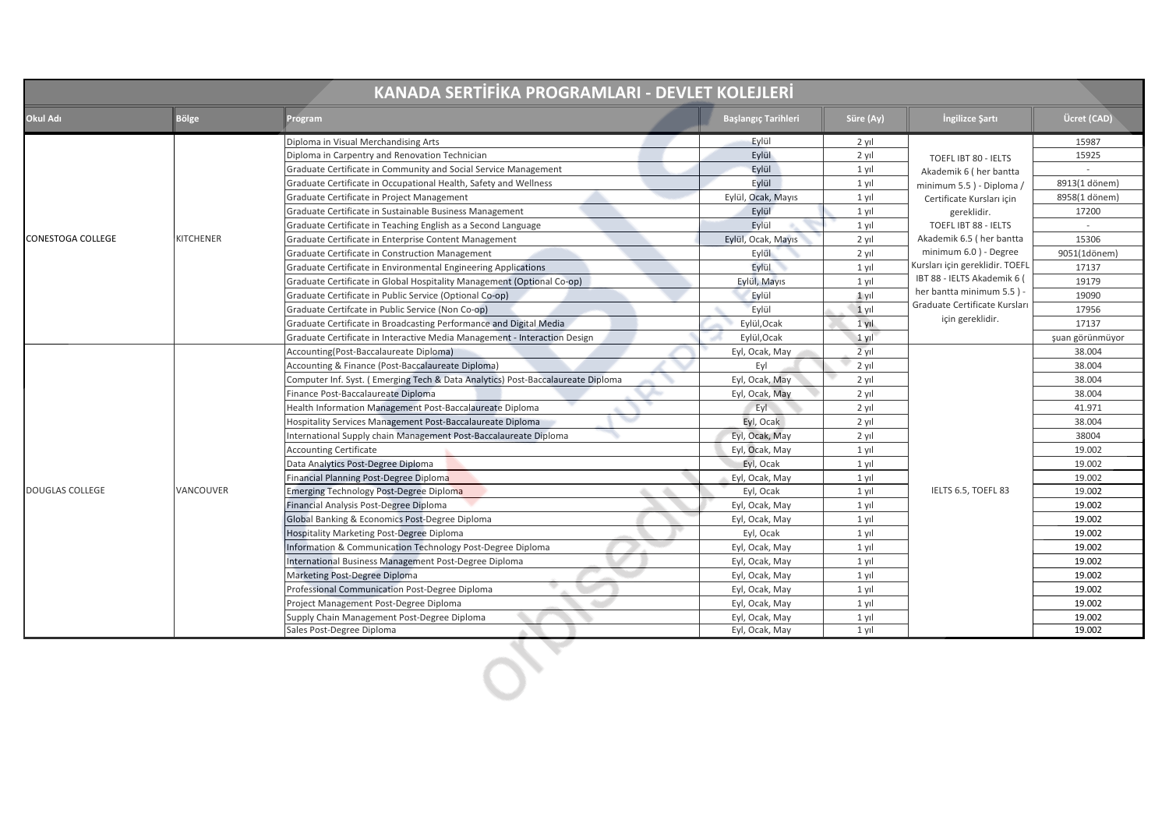| KANADA SERTİFİKA PROGRAMLARI - DEVLET KOLEJLERİ |                  |                                                                                     |                            |           |                                                                              |                 |
|-------------------------------------------------|------------------|-------------------------------------------------------------------------------------|----------------------------|-----------|------------------------------------------------------------------------------|-----------------|
| Okul Adı                                        | <b>Bölge</b>     | Program                                                                             | <b>Başlangıç Tarihleri</b> | Süre (Ay) | İngilizce Şartı                                                              | Ücret (CAD)     |
|                                                 |                  | Diploma in Visual Merchandising Arts                                                | Eylül                      | 2 yıl     |                                                                              | 15987           |
|                                                 |                  | Diploma in Carpentry and Renovation Technician                                      | Eylül                      | 2 yıl     | TOEFL IBT 80 - IELTS<br>Akademik 6 (her bantta<br>minimum 5.5) - Diploma /   | 15925           |
|                                                 |                  | Graduate Certificate in Community and Social Service Management                     | Eylül                      | 1 yıl     |                                                                              |                 |
|                                                 |                  | Graduate Certificate in Occupational Health, Safety and Wellness                    | Evlül                      | 1 yıl     |                                                                              | 8913(1 dönem)   |
|                                                 |                  | Graduate Certificate in Project Management                                          | Eylül, Ocak, Mayıs         | 1 yıl     | Certificate Kursları için                                                    | 8958(1 dönem)   |
|                                                 |                  | Graduate Certificate in Sustainable Business Management                             | Eylül                      | $1$ yıl   | gereklidir.                                                                  | 17200           |
|                                                 |                  | Graduate Certificate in Teaching English as a Second Language                       | Eylül                      | $1$ yıl   | TOEFL IBT 88 - IELTS                                                         |                 |
| <b>CONESTOGA COLLEGE</b>                        | <b>KITCHENER</b> | Graduate Certificate in Enterprise Content Management                               | Eylül, Ocak, Mayıs         | $2$ yıl   | Akademik 6.5 (her bantta                                                     | 15306           |
|                                                 |                  | Graduate Certificate in Construction Management                                     | Eylül                      | 2 yıl     | minimum 6.0) - Degree                                                        | 9051(1dönem)    |
|                                                 |                  | Graduate Certificate in Environmental Engineering Applications                      | Eylül                      | 1 yıl     | Kursları için gereklidir. TOEFL                                              | 17137           |
|                                                 |                  | Graduate Certificate in Global Hospitality Management (Optional Co-op)              | Eylül, Mayıs               | 1 yıl     | IBT 88 - IELTS Akademik 6 (                                                  | 19179           |
|                                                 |                  | Graduate Certificate in Public Service (Optional Co-op)                             | Eylül                      | $1$ yıl   | her bantta minimum 5.5)<br>Graduate Certificate Kursları<br>için gereklidir. | 19090           |
|                                                 |                  | Graduate Certifcate in Public Service (Non Co-op)                                   | Eylül                      | $1$ yıl   |                                                                              | 17956           |
|                                                 |                  | Graduate Certificate in Broadcasting Performance and Digital Media                  | Eylül, Ocak                | 1 yıl     |                                                                              | 17137           |
|                                                 |                  | Graduate Certificate in Interactive Media Management - Interaction Design           | Eylül, Ocak                | $1$ yıl   |                                                                              | şuan görünmüyor |
|                                                 |                  | Accounting(Post-Baccalaureate Diploma)                                              | Eyl, Ocak, May             | $2$ yıl   |                                                                              | 38.004          |
|                                                 |                  | Accounting & Finance (Post-Baccalaureate Diploma)                                   | Evl                        | $2$ yıl   |                                                                              | 38.004          |
|                                                 |                  | Computer Inf. Syst. (Emerging Tech & Data Analytics) Post-Baccalaureate Diploma     | Eyl, Ocak, May             | 2 yıl     |                                                                              | 38.004          |
|                                                 |                  | Finance Post-Baccalaureate Diploma                                                  | Eyl, Ocak, May             | 2 yıl     |                                                                              | 38.004          |
|                                                 |                  | Health Information Management Post-Baccalaureate Diploma                            | Eyl.                       | 2 yıl     |                                                                              | 41.971          |
|                                                 |                  | $\tilde{\phantom{a}}$<br>Hospitality Services Management Post-Baccalaureate Diploma | Eyl, Ocak                  | 2 yıl     |                                                                              | 38.004          |
|                                                 |                  | International Supply chain Management Post-Baccalaureate Diploma                    | Eyl, Ocak, May             | 2 yıl     |                                                                              | 38004           |
|                                                 |                  | <b>Accounting Certificate</b>                                                       | Eyl, Ocak, May             | 1 yıl     |                                                                              | 19.002          |
|                                                 |                  | Data Analytics Post-Degree Diploma                                                  | Eyl, Ocak                  | $1$ yıl   |                                                                              | 19.002          |
|                                                 |                  | Financial Planning Post-Degree Diploma                                              | Eyl, Ocak, May             | 1 yıl     |                                                                              | 19.002          |
| <b>DOUGLAS COLLEGE</b>                          | VANCOUVER        | Emerging Technology Post-Degree Diploma                                             | Eyl, Ocak                  | 1 yıl     | IELTS 6.5, TOEFL 83                                                          | 19.002          |
|                                                 |                  | Financial Analysis Post-Degree Diploma                                              | Eyl, Ocak, May             | 1 yıl     |                                                                              | 19.002          |
|                                                 |                  | Global Banking & Economics Post-Degree Diploma                                      | Eyl, Ocak, May             | $1$ yıl   |                                                                              | 19.002          |
|                                                 |                  | Hospitality Marketing Post-Degree Diploma                                           | Eyl, Ocak                  | $1$ yıl   |                                                                              | 19.002          |
|                                                 |                  | Information & Communication Technology Post-Degree Diploma                          | Eyl, Ocak, May             | 1 yıl     |                                                                              | 19.002          |
|                                                 |                  | International Business Management Post-Degree Diploma                               | Eyl, Ocak, May             | $1$ yıl   |                                                                              | 19.002          |
|                                                 |                  | Marketing Post-Degree Diploma                                                       | Eyl, Ocak, May             | 1 yıl     |                                                                              | 19.002          |
|                                                 |                  | Professional Communication Post-Degree Diploma                                      | Eyl, Ocak, May             | 1 yıl     |                                                                              | 19.002          |
|                                                 |                  | Project Management Post-Degree Diploma                                              | Eyl, Ocak, May             | 1 yıl     |                                                                              | 19.002          |
|                                                 |                  | Supply Chain Management Post-Degree Diploma                                         | Eyl, Ocak, May             | 1 yıl     |                                                                              | 19.002          |
|                                                 |                  | Sales Post-Degree Diploma                                                           | Eyl, Ocak, May             | 1 yıl     |                                                                              | 19.002          |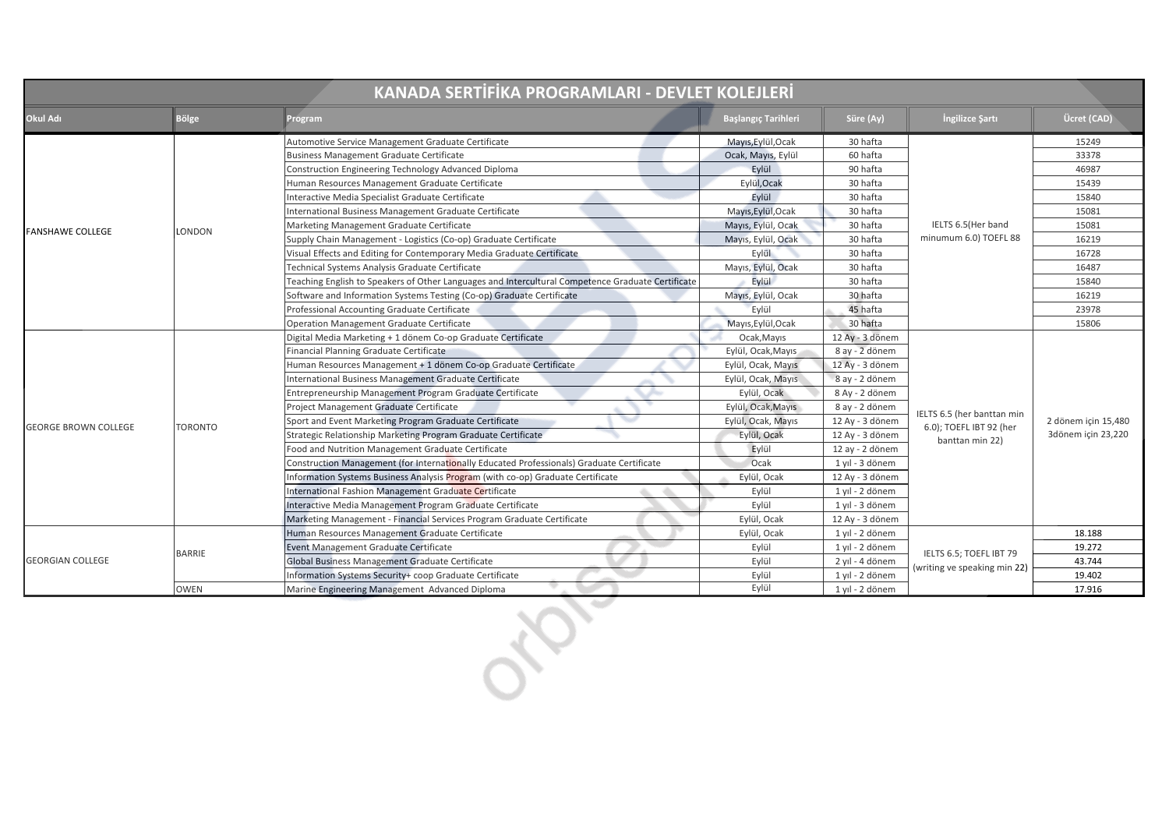| KANADA SERTİFİKA PROGRAMLARI - DEVLET KOLEJLERİ |                |                                                                                                   |                            |                 |                              |                     |
|-------------------------------------------------|----------------|---------------------------------------------------------------------------------------------------|----------------------------|-----------------|------------------------------|---------------------|
| Okul Adı                                        | <b>Bölge</b>   | Program                                                                                           | <b>Başlangıç Tarihleri</b> | Süre (Ay)       | Ingilizce Şartı              | Ücret (CAD)         |
|                                                 |                | Automotive Service Management Graduate Certificate                                                | Mayıs, Eylül, Ocak         | 30 hafta        |                              | 15249               |
|                                                 |                | Business Management Graduate Certificate                                                          | Ocak, Mayıs, Eylül         | 60 hafta        |                              | 33378               |
|                                                 |                | Construction Engineering Technology Advanced Diploma                                              | Eylül                      | 90 hafta        |                              | 46987               |
|                                                 |                | Human Resources Management Graduate Certificate                                                   | Eylül, Ocak                | 30 hafta        |                              | 15439               |
|                                                 |                | Interactive Media Specialist Graduate Certificate                                                 | Eylül                      | 30 hafta        |                              | 15840               |
|                                                 |                | International Business Management Graduate Certificate                                            | Mayıs, Eylül, Ocak         | 30 hafta        |                              | 15081               |
| <b>FANSHAWE COLLEGE</b>                         | <b>LONDON</b>  | Marketing Management Graduate Certificate                                                         | Mayıs, Eylül, Ocak         | 30 hafta        | IELTS 6.5(Her band           | 15081               |
|                                                 |                | Supply Chain Management - Logistics (Co-op) Graduate Certificate                                  | Mayıs, Eylül, Ocak         | 30 hafta        | minumum 6.0) TOEFL 88        | 16219               |
|                                                 |                | Visual Effects and Editing for Contemporary Media Graduate Certificate                            | Eylül                      | 30 hafta        |                              | 16728               |
|                                                 |                | Technical Systems Analysis Graduate Certificate                                                   | Mayıs, Eylül, Ocak         | 30 hafta        |                              | 16487               |
|                                                 |                | Teaching English to Speakers of Other Languages and Intercultural Competence Graduate Certificate | Eylül                      | 30 hafta        |                              | 15840               |
|                                                 |                | Software and Information Systems Testing (Co-op) Graduate Certificate                             | Mayıs, Eylül, Ocak         | 30 hafta        |                              | 16219               |
|                                                 |                | Professional Accounting Graduate Certificate                                                      | Eylül                      | 45 hafta        |                              | 23978               |
|                                                 |                | <b>Operation Management Graduate Certificate</b>                                                  | Mayıs, Eylül, Ocak         | 30 hafta        |                              | 15806               |
|                                                 |                | Digital Media Marketing + 1 dönem Co-op Graduate Certificate                                      | Ocak, Mayıs                | 12 Ay - 3 dönem |                              |                     |
|                                                 |                | Financial Planning Graduate Certificate                                                           | Eylül, Ocak, Mayıs         | 8 ay - 2 dönem  |                              |                     |
|                                                 |                | Human Resources Management + 1 dönem Co-op Graduate Certificate                                   | Eylül, Ocak, Mayıs         | 12 Ay - 3 dönem |                              |                     |
|                                                 |                | International Business Management Graduate Certificate                                            | Eylül, Ocak, Mayıs         | 8 ay - 2 dönem  |                              |                     |
|                                                 |                | Entrepreneurship Management Program Graduate Certificate                                          | Eylül, Ocak                | 8 Ay - 2 dönem  |                              |                     |
|                                                 |                | Project Management Graduate Certificate                                                           | Eylül, Ocak, Mayıs         | 8 ay - 2 dönem  | IELTS 6.5 (her banttan min   |                     |
| <b>GEORGE BROWN COLLEGE</b>                     | <b>TORONTO</b> | $\tilde{}$<br>Sport and Event Marketing Program Graduate Certificate                              | Eylül, Ocak, Mayıs         | 12 Ay - 3 dönem | 6.0); TOEFL IBT 92 (her      | 2 dönem için 15,480 |
|                                                 |                | Strategic Relationship Marketing Program Graduate Certificate                                     | Eylül, Ocak                | 12 Ay - 3 dönem | banttan min 22)              | 3dönem için 23,220  |
|                                                 |                | Food and Nutrition Management Graduate Certificate                                                | Eylül                      | 12 ay - 2 dönem |                              |                     |
|                                                 |                | Construction Management (for Internationally Educated Professionals) Graduate Certificate         | Ocak                       | 1 yıl - 3 dönem |                              |                     |
|                                                 |                | Information Systems Business Analysis Program (with co-op) Graduate Certificate                   | Eylül, Ocak                | 12 Ay - 3 dönem |                              |                     |
|                                                 |                | International Fashion Management Graduate Certificate                                             | Eylül                      | 1 yıl - 2 dönem |                              |                     |
|                                                 |                | Interactive Media Management Program Graduate Certificate                                         | Eylül                      | 1 yıl - 3 dönem |                              |                     |
|                                                 |                | Marketing Management - Financial Services Program Graduate Certificate                            | Eylül, Ocak                | 12 Ay - 3 dönem |                              |                     |
|                                                 |                | Human Resources Management Graduate Certificate                                                   | Eylül, Ocak                | 1 yıl - 2 dönem |                              | 18.188              |
|                                                 | <b>BARRIE</b>  | Event Management Graduate Certificate                                                             | Eylül                      | 1 yıl - 2 dönem | IELTS 6.5; TOEFL IBT 79      | 19.272              |
| <b>GEORGIAN COLLEGE</b>                         |                | Global Business Management Graduate Certificate                                                   | Eylül                      | 2 yıl - 4 dönem | (writing ve speaking min 22) | 43.744              |
|                                                 |                | Information Systems Security+ coop Graduate Certificate                                           | Eylül                      | 1 yıl - 2 dönem |                              | 19.402              |
|                                                 | <b>OWEN</b>    | Marine Engineering Management Advanced Diploma                                                    | Eylül                      | 1 yıl - 2 dönem |                              | 17.916              |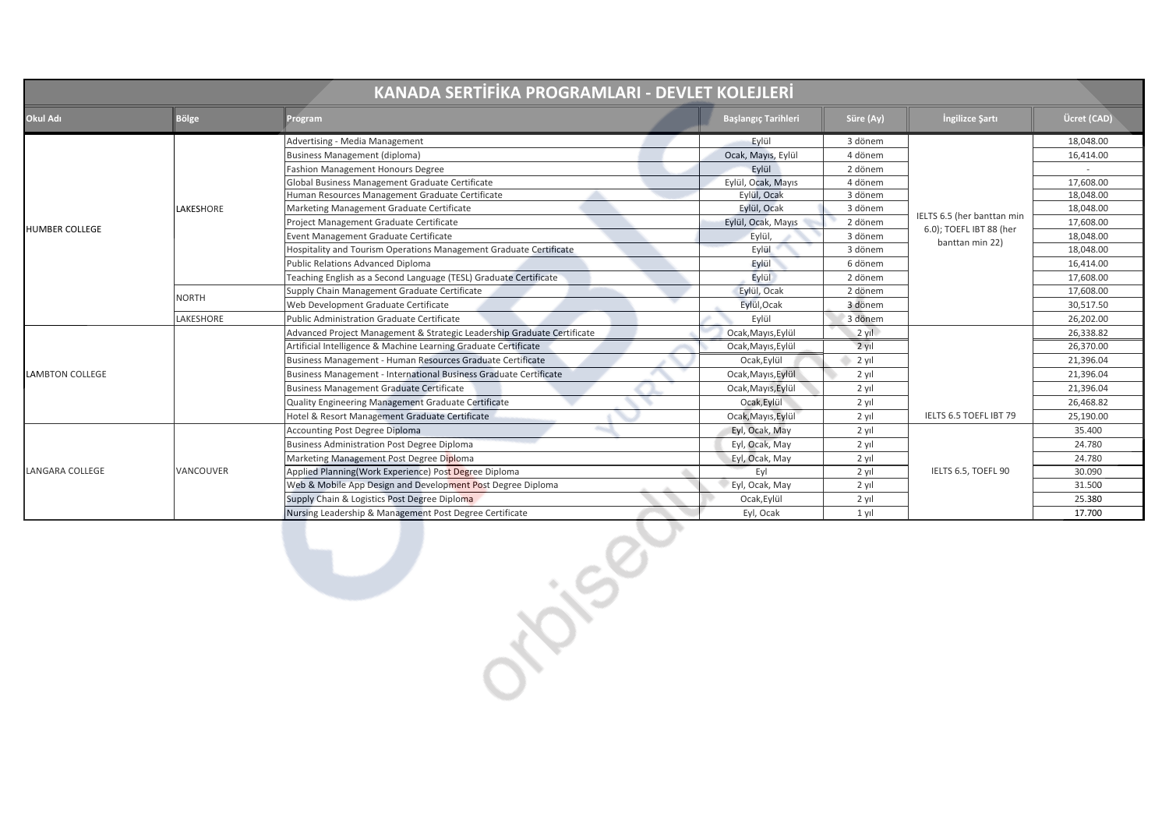| KANADA SERTİFİKA PROGRAMLARI - DEVLET KOLEJLERİ |              |                                                                         |  |                            |           |                            |             |
|-------------------------------------------------|--------------|-------------------------------------------------------------------------|--|----------------------------|-----------|----------------------------|-------------|
| Okul Adı                                        | <b>Bölge</b> | Program                                                                 |  | <b>Başlangıç Tarihleri</b> | Süre (Ay) | Ingilizce Şartı            | Ücret (CAD) |
|                                                 |              | Advertising - Media Management                                          |  | Eylül                      | 3 dönem   |                            | 18,048.00   |
|                                                 |              | <b>Business Management (diploma)</b>                                    |  | Ocak, Mayıs, Eylül         | 4 dönem   |                            | 16,414.00   |
|                                                 |              | <b>Fashion Management Honours Degree</b>                                |  | Eylül                      | 2 dönem   |                            | $\sim$      |
|                                                 |              | Global Business Management Graduate Certificate                         |  | Eylül, Ocak, Mayıs         | 4 dönem   |                            | 17,608.00   |
|                                                 |              | Human Resources Management Graduate Certificate                         |  | Eylül, Ocak                | 3 dönem   |                            | 18,048.00   |
|                                                 | LAKESHORE    | Marketing Management Graduate Certificate                               |  | Eylül, Ocak                | 3 dönem   | IELTS 6.5 (her banttan min | 18,048.00   |
| HUMBER COLLEGE                                  |              | Project Management Graduate Certificate                                 |  | Eylül, Ocak, Mayıs         | 2 dönem   | 6.0); TOEFL IBT 88 (her    | 17,608.00   |
|                                                 |              | Event Management Graduate Certificate                                   |  | Eylül,                     | 3 dönem   | banttan min 22)            | 18,048.00   |
|                                                 |              | Hospitality and Tourism Operations Management Graduate Certificate      |  | Eylül                      | 3 dönem   |                            | 18,048.00   |
|                                                 |              | Public Relations Advanced Diploma                                       |  | Eylül                      | 6 dönem   |                            | 16,414.00   |
|                                                 |              | Teaching English as a Second Language (TESL) Graduate Certificate       |  | Eylül                      | 2 dönem   |                            | 17,608.00   |
|                                                 | <b>NORTH</b> | Supply Chain Management Graduate Certificate                            |  | Eylül, Ocak                | 2 dönem   |                            | 17,608.00   |
|                                                 |              | Web Development Graduate Certificate                                    |  | Eylül, Ocak                | 3 dönem   |                            | 30,517.50   |
|                                                 | LAKESHORE    | Public Administration Graduate Certificate                              |  | Eylül                      | 3 dönem   |                            | 26,202.00   |
|                                                 |              | Advanced Project Management & Strategic Leadership Graduate Certificate |  | Ocak, Mayıs, Eylül         | $2$ yil   |                            | 26,338.82   |
|                                                 |              | Artificial Intelligence & Machine Learning Graduate Certificate         |  | Ocak, Mayıs, Eylül         | 2 yıl     |                            | 26,370.00   |
|                                                 |              | Business Management - Human Resources Graduate Certificate              |  | Ocak, Eylül                | 2 yıl     |                            | 21,396.04   |
| <b>LAMBTON COLLEGE</b>                          |              | Business Management - International Business Graduate Certificate       |  | Ocak, Mayıs, Eylül         | 2 yıl     |                            | 21,396.04   |
|                                                 |              | <b>Business Management Graduate Certificate</b>                         |  | Ocak, Mayıs, Eylül         | 2 yıl     |                            | 21,396.04   |
|                                                 |              | Quality Engineering Management Graduate Certificate                     |  | Ocak, Eylül                | 2 yıl     |                            | 26,468.82   |
|                                                 |              | Hotel & Resort Management Graduate Certificate                          |  | Ocak, Mayıs, Eylül         | 2 yıl     | IELTS 6.5 TOEFL IBT 79     | 25,190.00   |
|                                                 | VANCOUVER    | <b>Accounting Post Degree Diploma</b>                                   |  | Eyl, Ocak, May             | $2$ yıl   |                            | 35.400      |
|                                                 |              | <b>Business Administration Post Degree Diploma</b>                      |  | Eyl, Ocak, May             | 2 yıl     |                            | 24.780      |
|                                                 |              | Marketing Management Post Degree Diploma                                |  | Eyl, Ocak, May             | $2$ yıl   |                            | 24.780      |
| LANGARA COLLEGE                                 |              | Applied Planning(Work Experience) Post Degree Diploma                   |  | Eyl                        | 2 yıl     | IELTS 6.5, TOEFL 90        | 30.090      |
|                                                 |              | Web & Mobile App Design and Development Post Degree Diploma             |  | Eyl, Ocak, May             | 2 yıl     |                            | 31.500      |
|                                                 |              | Supply Chain & Logistics Post Degree Diploma                            |  | Ocak, Eylül                | 2 yıl     |                            | 25.380      |
|                                                 |              | Nursing Leadership & Management Post Degree Certificate                 |  | Eyl, Ocak                  | $1$ yıl   |                            | 17.700      |
|                                                 |              | 150                                                                     |  |                            |           |                            |             |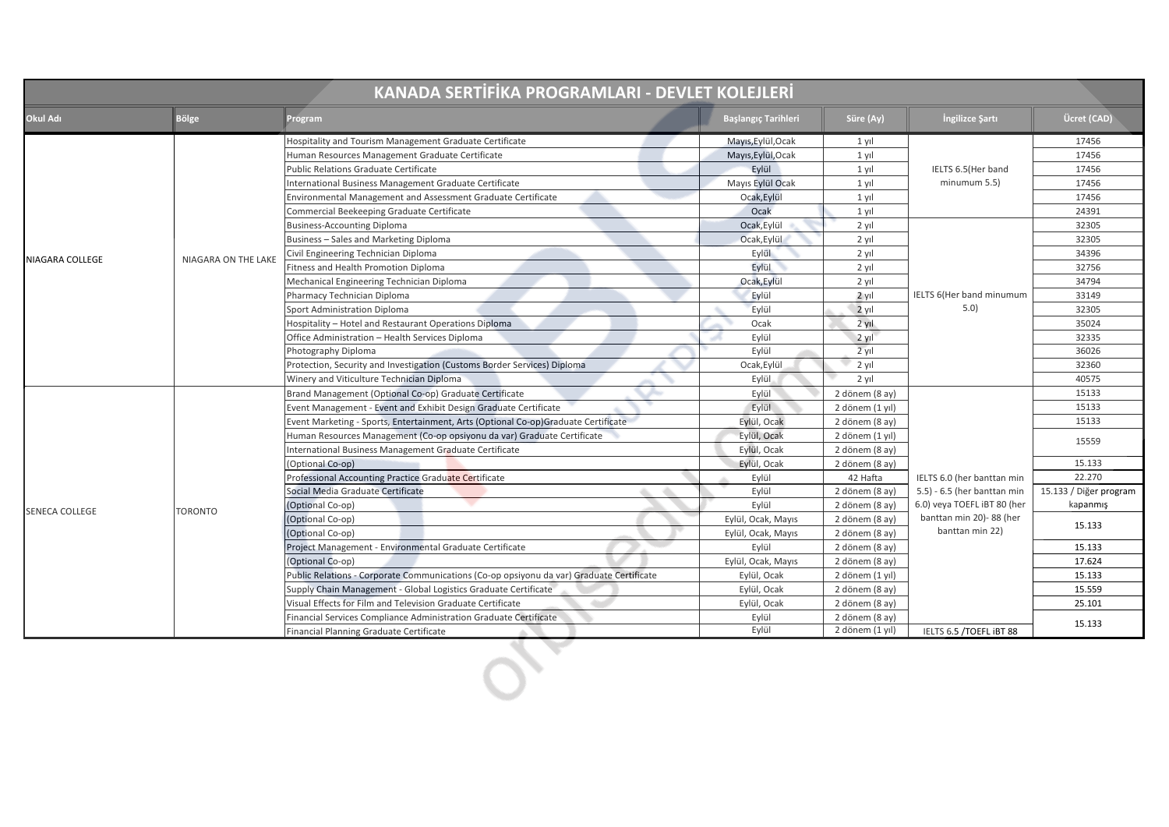| KANADA SERTİFİKA PROGRAMLARI - DEVLET KOLEJLERİ |                            |                                                                                          |                            |                 |                             |                        |
|-------------------------------------------------|----------------------------|------------------------------------------------------------------------------------------|----------------------------|-----------------|-----------------------------|------------------------|
| Okul Adı                                        | <b>Bölge</b>               | Program                                                                                  | <b>Başlangıç Tarihleri</b> | Süre (Ay)       | Ingilizce Şartı             | Ücret (CAD)            |
|                                                 |                            | Hospitality and Tourism Management Graduate Certificate                                  | Mayıs, Eylül, Ocak         | 1 yıl           |                             | 17456                  |
|                                                 |                            | Human Resources Management Graduate Certificate                                          | Mayıs, Eylül, Ocak         | 1 yıl           |                             | 17456                  |
|                                                 |                            | Public Relations Graduate Certificate                                                    | Eylül                      | $1$ yıl         | IELTS 6.5(Her band          | 17456                  |
|                                                 |                            | International Business Management Graduate Certificate                                   | Mayıs Eylül Ocak           | $1$ yıl         | minumum 5.5)                | 17456                  |
|                                                 |                            | Environmental Management and Assessment Graduate Certificate                             | Ocak, Eylül                | $1$ yıl         |                             | 17456                  |
|                                                 |                            | Commercial Beekeeping Graduate Certificate                                               | Ocak                       | 1 yıl           |                             | 24391                  |
|                                                 |                            | <b>Business-Accounting Diploma</b>                                                       | Ocak, Eylül                | 2 yıl           |                             | 32305                  |
|                                                 |                            | Business - Sales and Marketing Diploma                                                   | Ocak, Eylül                | 2 yıl           |                             | 32305                  |
|                                                 | <b>NIAGARA ON THE LAKE</b> | Civil Engineering Technician Diploma                                                     | Eylül                      | 2 yıl           |                             | 34396                  |
| NIAGARA COLLEGE                                 |                            | Fitness and Health Promotion Diploma                                                     | Eylül                      | 2 yıl           |                             | 32756                  |
|                                                 |                            | Mechanical Engineering Technician Diploma                                                | Ocak, Eylül                | 2 yıl           |                             | 34794                  |
|                                                 |                            | Pharmacy Technician Diploma                                                              | Eylül                      | $2$ yil         | IELTS 6(Her band minumum    | 33149                  |
|                                                 |                            | Sport Administration Diploma                                                             | Eylül                      | $2$ vil         | 5.0)                        | 32305                  |
|                                                 |                            | Hospitality - Hotel and Restaurant Operations Diploma                                    | Ocak                       | 2 yıl           |                             | 35024                  |
|                                                 |                            | Office Administration - Health Services Diploma                                          | Eylül                      | 2 yıl           |                             | 32335                  |
|                                                 |                            | Photography Diploma                                                                      | Eylül                      | $2$ yıl         |                             | 36026                  |
|                                                 |                            | Protection, Security and Investigation (Customs Border Services) Diploma                 | Ocak, Eylül                | 2 yıl           |                             | 32360                  |
|                                                 |                            | Winery and Viticulture Technician Diploma                                                | Eylül                      | 2 yıl           |                             | 40575                  |
|                                                 |                            | Brand Management (Optional Co-op) Graduate Certificate                                   | Eylül                      | 2 dönem (8 ay)  |                             | 15133                  |
|                                                 |                            | Event Management - Event and Exhibit Design Graduate Certificate                         | Eylül                      | 2 dönem (1 yıl) |                             | 15133                  |
|                                                 |                            | Event Marketing - Sports, Entertainment, Arts (Optional Co-op)Graduate Certificate       | Eylül, Ocak                | 2 dönem (8 ay)  |                             | 15133                  |
|                                                 |                            | Human Resources Management (Co-op opsiyonu da var) Graduate Certificate                  | Eylül, Ocak                | 2 dönem (1 yıl) |                             | 15559                  |
|                                                 |                            | International Business Management Graduate Certificate                                   | Eylül, Ocak                | 2 dönem (8 ay)  |                             |                        |
|                                                 |                            | (Optional Co-op)                                                                         | Eylül, Ocak                | 2 dönem (8 ay)  |                             | 15.133                 |
|                                                 |                            | Professional Accounting Practice Graduate Certificate                                    | Eylül                      | 42 Hafta        | IELTS 6.0 (her banttan min  | 22.270                 |
|                                                 |                            | Social Media Graduate Certificate                                                        | Eylül                      | 2 dönem (8 ay)  | 5.5) - 6.5 (her banttan min | 15.133 / Diğer program |
| <b>SENECA COLLEGE</b>                           | <b>TORONTO</b>             | (Optional Co-op)                                                                         | Eylül                      | 2 dönem (8 ay)  | 6.0) veya TOEFL iBT 80 (her | kapanmış               |
|                                                 |                            | (Optional Co-op)                                                                         | Eylül, Ocak, Mayıs         | 2 dönem (8 ay)  | banttan min 20)-88 (her     | 15.133                 |
|                                                 |                            | Optional Co-op)                                                                          | Eylül, Ocak, Mayıs         | 2 dönem (8 ay)  | banttan min 22)             |                        |
|                                                 |                            | Project Management - Environmental Graduate Certificate                                  | Eylül                      | 2 dönem (8 ay)  |                             | 15.133                 |
|                                                 |                            | (Optional Co-op)                                                                         | Eylül, Ocak, Mayıs         | 2 dönem (8 ay)  |                             | 17.624                 |
|                                                 |                            | Public Relations - Corporate Communications (Co-op opsiyonu da var) Graduate Certificate | Eylül, Ocak                | 2 dönem (1 yıl) |                             | 15.133                 |
|                                                 |                            | Supply Chain Management - Global Logistics Graduate Certificate                          | Eylül, Ocak                | 2 dönem (8 ay)  |                             | 15.559                 |
|                                                 |                            | Visual Effects for Film and Television Graduate Certificate                              | Eylül, Ocak                | 2 dönem (8 ay)  |                             | 25.101                 |
|                                                 |                            | Financial Services Compliance Administration Graduate Certificate                        | Eylül                      | 2 dönem (8 ay)  |                             | 15.133                 |
|                                                 |                            | Financial Planning Graduate Certificate                                                  | Eylül                      | 2 dönem (1 yıl) | IELTS 6.5 /TOEFL IBT 88     |                        |